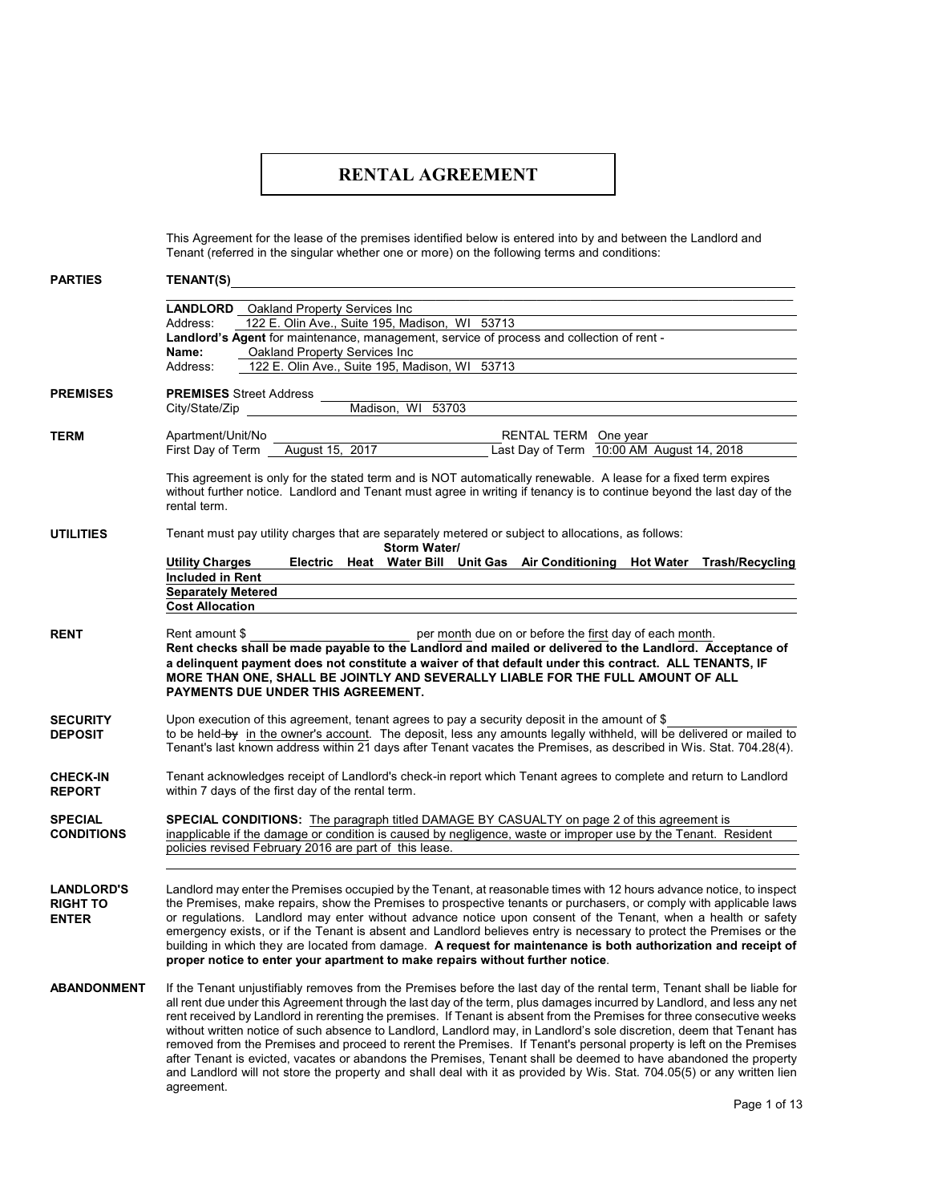## **RENTAL AGREEMENT**

This Agreement for the lease of the premises identified below is entered into by and between the Landlord and Tenant (referred in the singular whether one or more) on the following terms and conditions:

| <b>PARTIES</b>                         | TENANT(S)                                                                                                                                                                                                                                                 |  |  |  |
|----------------------------------------|-----------------------------------------------------------------------------------------------------------------------------------------------------------------------------------------------------------------------------------------------------------|--|--|--|
|                                        | <b>LANDLORD</b> Oakland Property Services Inc                                                                                                                                                                                                             |  |  |  |
|                                        | 122 E. Olin Ave., Suite 195, Madison, WI 53713<br>Address:                                                                                                                                                                                                |  |  |  |
|                                        | Landlord's Agent for maintenance, management, service of process and collection of rent -                                                                                                                                                                 |  |  |  |
| Oakland Property Services Inc<br>Name: |                                                                                                                                                                                                                                                           |  |  |  |
|                                        | 122 E. Olin Ave., Suite 195, Madison, WI 53713<br>Address:                                                                                                                                                                                                |  |  |  |
| <b>PREMISES</b>                        | <b>PREMISES</b> Street Address                                                                                                                                                                                                                            |  |  |  |
|                                        | Madison, WI 53703<br>City/State/Zip                                                                                                                                                                                                                       |  |  |  |
| TERM                                   | Apartment/Unit/No<br>RENTAL TERM One year                                                                                                                                                                                                                 |  |  |  |
|                                        | August 15, 2017<br>Last Day of Term 10:00 AM August 14, 2018<br>First Day of Term                                                                                                                                                                         |  |  |  |
|                                        |                                                                                                                                                                                                                                                           |  |  |  |
|                                        | This agreement is only for the stated term and is NOT automatically renewable. A lease for a fixed term expires<br>without further notice. Landlord and Tenant must agree in writing if tenancy is to continue beyond the last day of the<br>rental term. |  |  |  |
| <b>UTILITIES</b>                       | Tenant must pay utility charges that are separately metered or subject to allocations, as follows:<br>Storm Water/                                                                                                                                        |  |  |  |
|                                        | Electric Heat Water Bill Unit Gas Air Conditioning Hot Water Trash/Recycling<br><b>Utility Charges</b>                                                                                                                                                    |  |  |  |
|                                        | <b>Included in Rent</b>                                                                                                                                                                                                                                   |  |  |  |
|                                        | <b>Separately Metered</b>                                                                                                                                                                                                                                 |  |  |  |
|                                        | <b>Cost Allocation</b>                                                                                                                                                                                                                                    |  |  |  |
| <b>RENT</b>                            | Rent amount \$<br>per month due on or before the first day of each month.                                                                                                                                                                                 |  |  |  |
|                                        | Rent checks shall be made payable to the Landlord and mailed or delivered to the Landlord. Acceptance of                                                                                                                                                  |  |  |  |
|                                        | a delinquent payment does not constitute a waiver of that default under this contract. ALL TENANTS, IF                                                                                                                                                    |  |  |  |
|                                        | MORE THAN ONE, SHALL BE JOINTLY AND SEVERALLY LIABLE FOR THE FULL AMOUNT OF ALL<br><b>PAYMENTS DUE UNDER THIS AGREEMENT.</b>                                                                                                                              |  |  |  |
| <b>SECURITY</b>                        | Upon execution of this agreement, tenant agrees to pay a security deposit in the amount of \$                                                                                                                                                             |  |  |  |
| <b>DEPOSIT</b>                         | to be held-by in the owner's account. The deposit, less any amounts legally withheld, will be delivered or mailed to<br>Tenant's last known address within 21 days after Tenant vacates the Premises, as described in Wis. Stat. 704.28(4).               |  |  |  |
| <b>CHECK-IN</b><br><b>REPORT</b>       | Tenant acknowledges receipt of Landlord's check-in report which Tenant agrees to complete and return to Landlord<br>within 7 days of the first day of the rental term.                                                                                    |  |  |  |
| <b>SPECIAL</b>                         | SPECIAL CONDITIONS: The paragraph titled DAMAGE BY CASUALTY on page 2 of this agreement is                                                                                                                                                                |  |  |  |
| <b>CONDITIONS</b>                      | inapplicable if the damage or condition is caused by negligence, waste or improper use by the Tenant. Resident                                                                                                                                            |  |  |  |
|                                        | policies revised February 2016 are part of this lease.                                                                                                                                                                                                    |  |  |  |
|                                        |                                                                                                                                                                                                                                                           |  |  |  |
| <b>LANDLORD'S</b>                      | Landlord may enter the Premises occupied by the Tenant, at reasonable times with 12 hours advance notice, to inspect                                                                                                                                      |  |  |  |
| <b>RIGHT TO</b><br><b>ENTER</b>        | the Premises, make repairs, show the Premises to prospective tenants or purchasers, or comply with applicable laws<br>or regulations. Landlord may enter without advance notice upon consent of the Tenant, when a health or safety                       |  |  |  |
|                                        | emergency exists, or if the Tenant is absent and Landlord believes entry is necessary to protect the Premises or the                                                                                                                                      |  |  |  |
|                                        | building in which they are located from damage. A request for maintenance is both authorization and receipt of                                                                                                                                            |  |  |  |
|                                        | proper notice to enter your apartment to make repairs without further notice.                                                                                                                                                                             |  |  |  |
| <b>ABANDONMENT</b>                     | If the Tenant unjustifiably removes from the Premises before the last day of the rental term, Tenant shall be liable for                                                                                                                                  |  |  |  |
|                                        | all rent due under this Agreement through the last day of the term, plus damages incurred by Landlord, and less any net                                                                                                                                   |  |  |  |
|                                        | rent received by Landlord in rerenting the premises. If Tenant is absent from the Premises for three consecutive weeks                                                                                                                                    |  |  |  |
|                                        | without written notice of such absence to Landlord, Landlord may, in Landlord's sole discretion, deem that Tenant has                                                                                                                                     |  |  |  |
|                                        | removed from the Premises and proceed to rerent the Premises. If Tenant's personal property is left on the Premises                                                                                                                                       |  |  |  |
|                                        | after Tenant is evicted, vacates or abandons the Premises, Tenant shall be deemed to have abandoned the property<br>and Landlord will not store the property and shall deal with it as provided by Wis. Stat. 704.05(5) or any written lien               |  |  |  |
|                                        | agreement.                                                                                                                                                                                                                                                |  |  |  |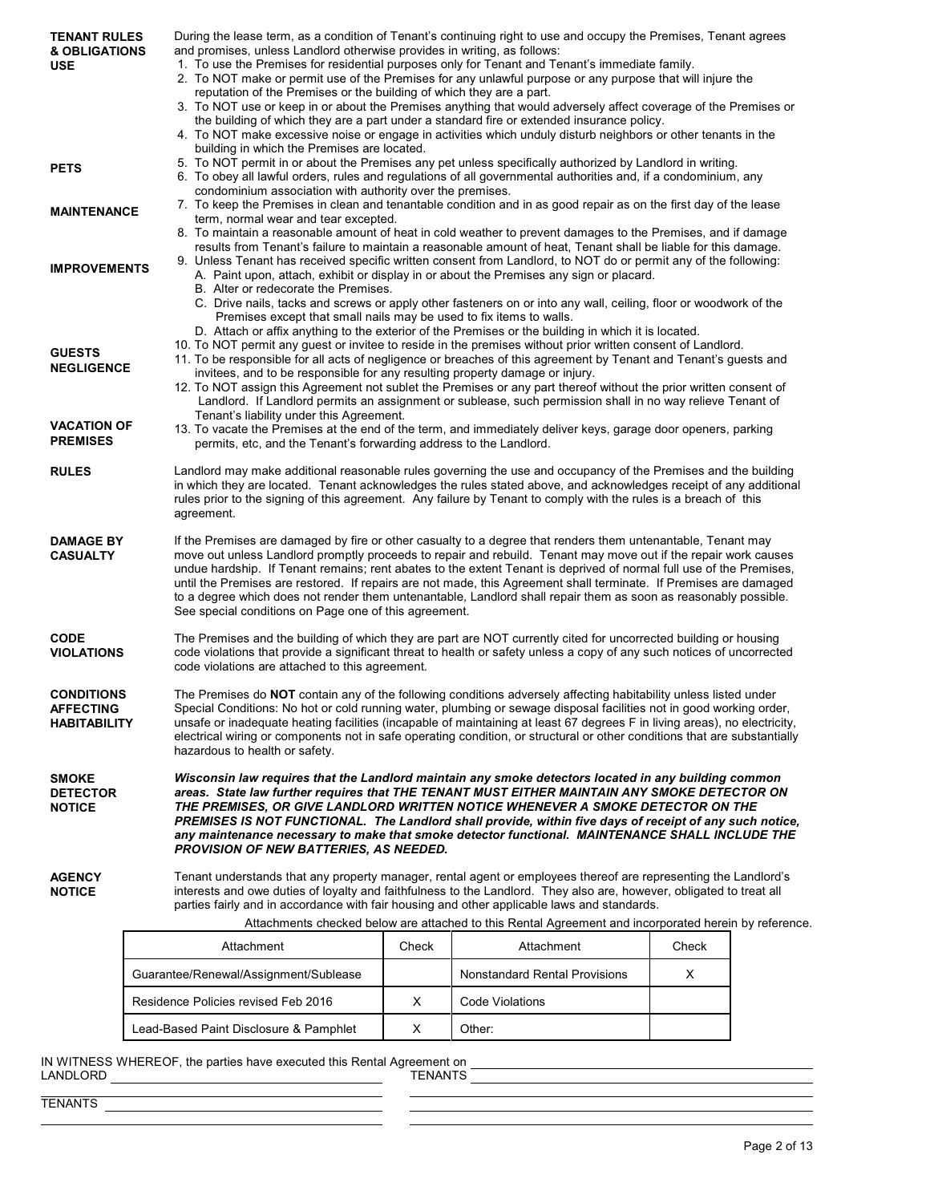| <b>TENANT RULES</b><br><b>&amp; OBLIGATIONS</b><br><b>USE</b> | During the lease term, as a condition of Tenant's continuing right to use and occupy the Premises, Tenant agrees<br>and promises, unless Landlord otherwise provides in writing, as follows:<br>1. To use the Premises for residential purposes only for Tenant and Tenant's immediate family.<br>2. To NOT make or permit use of the Premises for any unlawful purpose or any purpose that will injure the<br>reputation of the Premises or the building of which they are a part.<br>3. To NOT use or keep in or about the Premises anything that would adversely affect coverage of the Premises or<br>the building of which they are a part under a standard fire or extended insurance policy.<br>4. To NOT make excessive noise or engage in activities which unduly disturb neighbors or other tenants in the<br>building in which the Premises are located. |                                                                                                                                                                                                                                                                                                                                                                                                                                                                                                                                                                                                                                                         |                                                                                                       |       |  |  |
|---------------------------------------------------------------|---------------------------------------------------------------------------------------------------------------------------------------------------------------------------------------------------------------------------------------------------------------------------------------------------------------------------------------------------------------------------------------------------------------------------------------------------------------------------------------------------------------------------------------------------------------------------------------------------------------------------------------------------------------------------------------------------------------------------------------------------------------------------------------------------------------------------------------------------------------------|---------------------------------------------------------------------------------------------------------------------------------------------------------------------------------------------------------------------------------------------------------------------------------------------------------------------------------------------------------------------------------------------------------------------------------------------------------------------------------------------------------------------------------------------------------------------------------------------------------------------------------------------------------|-------------------------------------------------------------------------------------------------------|-------|--|--|
| <b>PETS</b>                                                   |                                                                                                                                                                                                                                                                                                                                                                                                                                                                                                                                                                                                                                                                                                                                                                                                                                                                     | 5. To NOT permit in or about the Premises any pet unless specifically authorized by Landlord in writing.<br>6. To obey all lawful orders, rules and regulations of all governmental authorities and, if a condominium, any<br>condominium association with authority over the premises.                                                                                                                                                                                                                                                                                                                                                                 |                                                                                                       |       |  |  |
| <b>MAINTENANCE</b>                                            |                                                                                                                                                                                                                                                                                                                                                                                                                                                                                                                                                                                                                                                                                                                                                                                                                                                                     | 7. To keep the Premises in clean and tenantable condition and in as good repair as on the first day of the lease<br>term, normal wear and tear excepted.<br>8. To maintain a reasonable amount of heat in cold weather to prevent damages to the Premises, and if damage<br>results from Tenant's failure to maintain a reasonable amount of heat, Tenant shall be liable for this damage.                                                                                                                                                                                                                                                              |                                                                                                       |       |  |  |
| <b>IMPROVEMENTS</b>                                           |                                                                                                                                                                                                                                                                                                                                                                                                                                                                                                                                                                                                                                                                                                                                                                                                                                                                     | 9. Unless Tenant has received specific written consent from Landlord, to NOT do or permit any of the following:<br>A. Paint upon, attach, exhibit or display in or about the Premises any sign or placard.<br>B. Alter or redecorate the Premises.<br>C. Drive nails, tacks and screws or apply other fasteners on or into any wall, ceiling, floor or woodwork of the<br>Premises except that small nails may be used to fix items to walls.<br>D. Attach or affix anything to the exterior of the Premises or the building in which it is located.                                                                                                    |                                                                                                       |       |  |  |
| <b>GUESTS</b><br><b>NEGLIGENCE</b>                            |                                                                                                                                                                                                                                                                                                                                                                                                                                                                                                                                                                                                                                                                                                                                                                                                                                                                     | 10. To NOT permit any quest or invitee to reside in the premises without prior written consent of Landlord.<br>11. To be responsible for all acts of negligence or breaches of this agreement by Tenant and Tenant's guests and<br>invitees, and to be responsible for any resulting property damage or injury.<br>12. To NOT assign this Agreement not sublet the Premises or any part thereof without the prior written consent of<br>Landlord. If Landlord permits an assignment or sublease, such permission shall in no way relieve Tenant of                                                                                                      |                                                                                                       |       |  |  |
| <b>VACATION OF</b><br><b>PREMISES</b>                         |                                                                                                                                                                                                                                                                                                                                                                                                                                                                                                                                                                                                                                                                                                                                                                                                                                                                     | Tenant's liability under this Agreement.<br>13. To vacate the Premises at the end of the term, and immediately deliver keys, garage door openers, parking<br>permits, etc, and the Tenant's forwarding address to the Landlord.                                                                                                                                                                                                                                                                                                                                                                                                                         |                                                                                                       |       |  |  |
| <b>RULES</b>                                                  | agreement.                                                                                                                                                                                                                                                                                                                                                                                                                                                                                                                                                                                                                                                                                                                                                                                                                                                          | Landlord may make additional reasonable rules governing the use and occupancy of the Premises and the building<br>in which they are located. Tenant acknowledges the rules stated above, and acknowledges receipt of any additional<br>rules prior to the signing of this agreement. Any failure by Tenant to comply with the rules is a breach of this                                                                                                                                                                                                                                                                                                 |                                                                                                       |       |  |  |
| <b>DAMAGE BY</b><br><b>CASUALTY</b>                           |                                                                                                                                                                                                                                                                                                                                                                                                                                                                                                                                                                                                                                                                                                                                                                                                                                                                     | If the Premises are damaged by fire or other casualty to a degree that renders them untenantable, Tenant may<br>move out unless Landlord promptly proceeds to repair and rebuild. Tenant may move out if the repair work causes<br>undue hardship. If Tenant remains; rent abates to the extent Tenant is deprived of normal full use of the Premises,<br>until the Premises are restored. If repairs are not made, this Agreement shall terminate. If Premises are damaged<br>to a degree which does not render them untenantable, Landlord shall repair them as soon as reasonably possible.<br>See special conditions on Page one of this agreement. |                                                                                                       |       |  |  |
| <b>CODE</b><br><b>VIOLATIONS</b>                              |                                                                                                                                                                                                                                                                                                                                                                                                                                                                                                                                                                                                                                                                                                                                                                                                                                                                     | The Premises and the building of which they are part are NOT currently cited for uncorrected building or housing<br>code violations that provide a significant threat to health or safety unless a copy of any such notices of uncorrected<br>code violations are attached to this agreement.                                                                                                                                                                                                                                                                                                                                                           |                                                                                                       |       |  |  |
| <b>CONDITIONS</b><br><b>AFFECTING</b><br><b>HABITABILITY</b>  | The Premises do NOT contain any of the following conditions adversely affecting habitability unless listed under<br>Special Conditions: No hot or cold running water, plumbing or sewage disposal facilities not in good working order,<br>unsafe or inadequate heating facilities (incapable of maintaining at least 67 degrees F in living areas), no electricity,<br>electrical wiring or components not in safe operating condition, or structural or other conditions that are substantially<br>hazardous to health or safety.                                                                                                                                                                                                                                                                                                                                 |                                                                                                                                                                                                                                                                                                                                                                                                                                                                                                                                                                                                                                                         |                                                                                                       |       |  |  |
| <b>SMOKE</b><br><b>DETECTOR</b><br><b>NOTICE</b>              | Wisconsin law requires that the Landlord maintain any smoke detectors located in any building common<br>areas. State law further requires that THE TENANT MUST EITHER MAINTAIN ANY SMOKE DETECTOR ON<br>THE PREMISES. OR GIVE LANDLORD WRITTEN NOTICE WHENEVER A SMOKE DETECTOR ON THE<br>PREMISES IS NOT FUNCTIONAL. The Landlord shall provide, within five days of receipt of any such notice,<br>any maintenance necessary to make that smoke detector functional. MAINTENANCE SHALL INCLUDE THE<br><b>PROVISION OF NEW BATTERIES, AS NEEDED.</b>                                                                                                                                                                                                                                                                                                               |                                                                                                                                                                                                                                                                                                                                                                                                                                                                                                                                                                                                                                                         |                                                                                                       |       |  |  |
| <b>AGENCY</b><br><b>NOTICE</b>                                | Tenant understands that any property manager, rental agent or employees thereof are representing the Landlord's<br>interests and owe duties of loyalty and faithfulness to the Landlord. They also are, however, obligated to treat all<br>parties fairly and in accordance with fair housing and other applicable laws and standards.                                                                                                                                                                                                                                                                                                                                                                                                                                                                                                                              |                                                                                                                                                                                                                                                                                                                                                                                                                                                                                                                                                                                                                                                         |                                                                                                       |       |  |  |
|                                                               |                                                                                                                                                                                                                                                                                                                                                                                                                                                                                                                                                                                                                                                                                                                                                                                                                                                                     |                                                                                                                                                                                                                                                                                                                                                                                                                                                                                                                                                                                                                                                         | Attachments checked below are attached to this Rental Agreement and incorporated herein by reference. |       |  |  |
|                                                               | Attachment                                                                                                                                                                                                                                                                                                                                                                                                                                                                                                                                                                                                                                                                                                                                                                                                                                                          | Check                                                                                                                                                                                                                                                                                                                                                                                                                                                                                                                                                                                                                                                   | Attachment                                                                                            | Check |  |  |
|                                                               | Guarantee/Renewal/Assignment/Sublease                                                                                                                                                                                                                                                                                                                                                                                                                                                                                                                                                                                                                                                                                                                                                                                                                               |                                                                                                                                                                                                                                                                                                                                                                                                                                                                                                                                                                                                                                                         | <b>Nonstandard Rental Provisions</b>                                                                  | Χ     |  |  |
|                                                               | Residence Policies revised Feb 2016                                                                                                                                                                                                                                                                                                                                                                                                                                                                                                                                                                                                                                                                                                                                                                                                                                 | X                                                                                                                                                                                                                                                                                                                                                                                                                                                                                                                                                                                                                                                       | Code Violations                                                                                       |       |  |  |
|                                                               | Lead-Based Paint Disclosure & Pamphlet                                                                                                                                                                                                                                                                                                                                                                                                                                                                                                                                                                                                                                                                                                                                                                                                                              | X                                                                                                                                                                                                                                                                                                                                                                                                                                                                                                                                                                                                                                                       | Other:                                                                                                |       |  |  |

IN WITNESS WHEREOF, the parties have executed this Rental Agreement on LANDLORD **TENANTS** TENANTS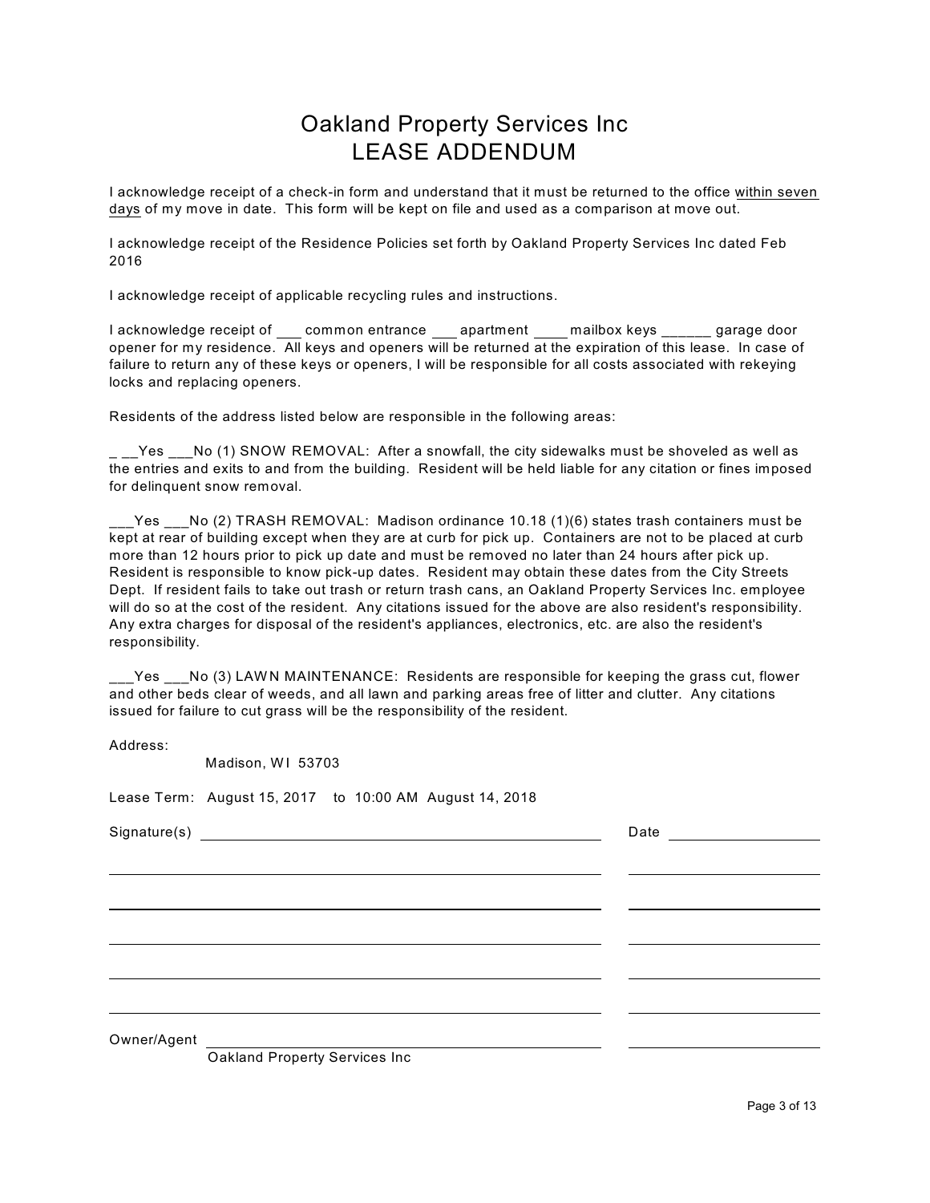# Oakland Property Services Inc LEASE ADDENDUM

I acknowledge receipt of a check-in form and understand that it must be returned to the office within seven days of my move in date. This form will be kept on file and used as a comparison at move out.

I acknowledge receipt of the Residence Policies set forth by Oakland Property Services Inc dated Feb 2016

I acknowledge receipt of applicable recycling rules and instructions.

I acknowledge receipt of \_\_\_\_ common entrance \_\_\_\_ apartment \_\_\_\_ mailbox keys \_\_\_\_\_\_\_ garage door opener for my residence. All keys and openers will be returned at the expiration of this lease. In case of failure to return any of these keys or openers, I will be responsible for all costs associated with rekeying locks and replacing openers.

Residents of the address listed below are responsible in the following areas:

Yes No (1) SNOW REMOVAL: After a snowfall, the city sidewalks must be shoveled as well as the entries and exits to and from the building. Resident will be held liable for any citation or fines imposed for delinquent snow removal.

Yes No (2) TRASH REMOVAL: Madison ordinance 10.18 (1)(6) states trash containers must be kept at rear of building except when they are at curb for pick up. Containers are not to be placed at curb more than 12 hours prior to pick up date and must be removed no later than 24 hours after pick up. Resident is responsible to know pick-up dates. Resident may obtain these dates from the City Streets Dept. If resident fails to take out trash or return trash cans, an Oakland Property Services Inc. employee will do so at the cost of the resident. Any citations issued for the above are also resident's responsibility. Any extra charges for disposal of the resident's appliances, electronics, etc. are also the resident's responsibility.

Yes No (3) LAWN MAINTENANCE: Residents are responsible for keeping the grass cut, flower and other beds clear of weeds, and all lawn and parking areas free of litter and clutter. Any citations issued for failure to cut grass will be the responsibility of the resident.

Address:

Madison, WI 53703

Lease Term: August 15, 2017 to 10:00 AM August 14, 2018

|                                                                                                                            | Date <u>_______________</u> |
|----------------------------------------------------------------------------------------------------------------------------|-----------------------------|
|                                                                                                                            |                             |
|                                                                                                                            |                             |
|                                                                                                                            |                             |
|                                                                                                                            |                             |
|                                                                                                                            |                             |
|                                                                                                                            |                             |
| Owner/Agent<br><u> 1989 - Johann Harry Barn, mars ar breist fan de Fryske kommunent (</u><br>Ookland Dronochy Comicac Inc. |                             |

Oakland Property Services Inc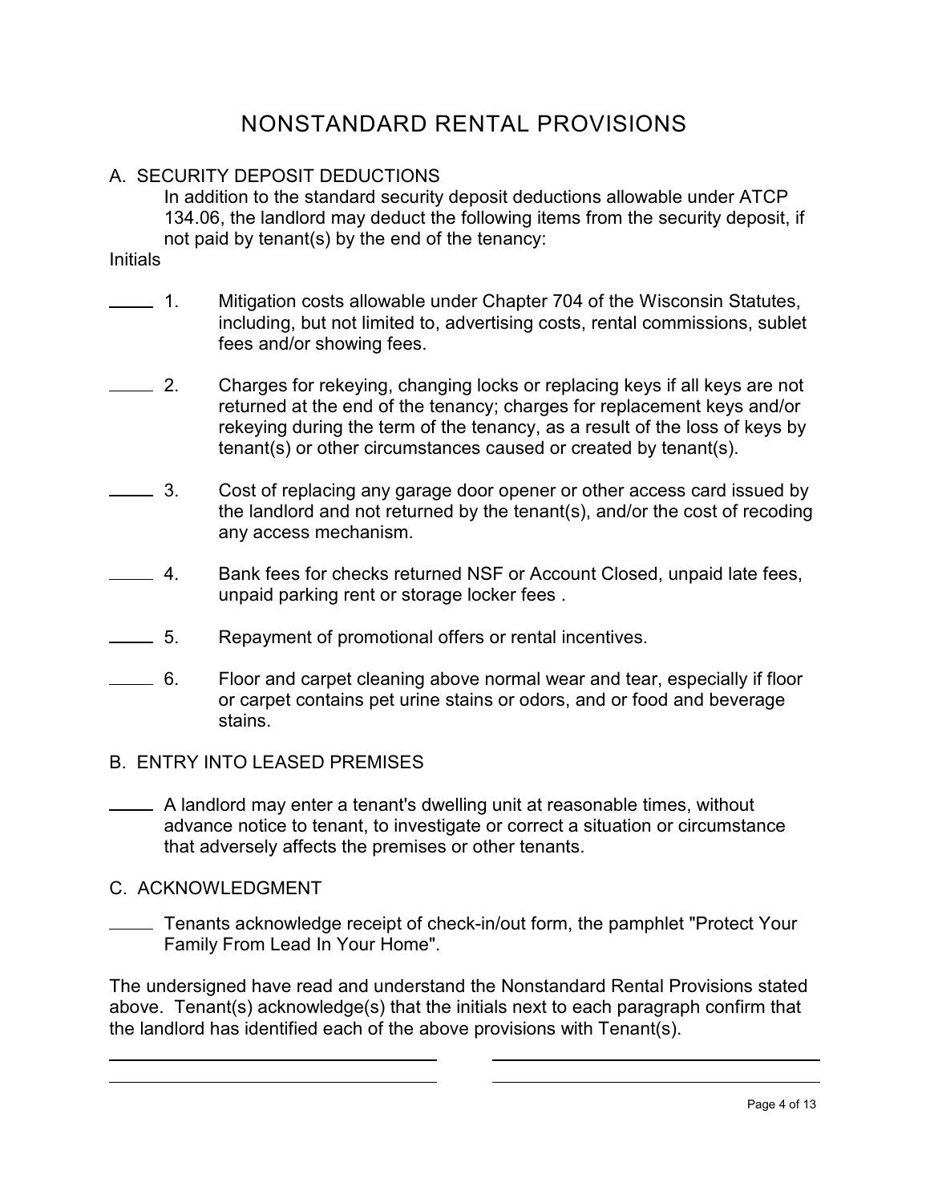# NONSTANDARD RENTAL PROVISIONS

## A. SECURITY DEPOSIT DEDUCTIONS

In addition to the standard security deposit deductions allowable under ATCP 134.06, the landlord may deduct the following items from the security deposit, if not paid by tenant(s) by the end of the tenancy:

**Initials** 

- 1. Mitigation costs allowable under Chapter 704 of the Wisconsin Statutes, including, but not limited to, advertising costs, rental commissions, sublet fees and/or showing fees.
- 2. Charges for rekeying, changing locks or replacing keys if all keys are not returned at the end of the tenancy; charges for replacement keys and/or rekeying during the term of the tenancy, as a result of the loss of keys by tenant(s) or other circumstances caused or created by tenant(s).
- 3. Cost of replacing any garage door opener or other access card issued by the landlord and not returned by the tenant(s), and/or the cost of recoding any access mechanism.
- 4. Bank fees for checks returned NSF or Account Closed, unpaid late fees, unpaid parking rent or storage locker fees .
- 5. Repayment of promotional offers or rental incentives.
- 6. Floor and carpet cleaning above normal wear and tear, especially if floor or carpet contains pet urine stains or odors, and or food and beverage stains.

### B. ENTRY INTO LEASED PREMISES

A landlord may enter a tenant's dwelling unit at reasonable times, without advance notice to tenant, to investigate or correct a situation or circumstance that adversely affects the premises or other tenants.

### C. ACKNOWLEDGMENT

Tenants acknowledge receipt of check-in/out form, the pamphlet "Protect Your Family From Lead In Your Home".

The undersigned have read and understand the Nonstandard Rental Provisions stated above. Tenant(s) acknowledge(s) that the initials next to each paragraph confirm that the landlord has identified each of the above provisions with Tenant(s).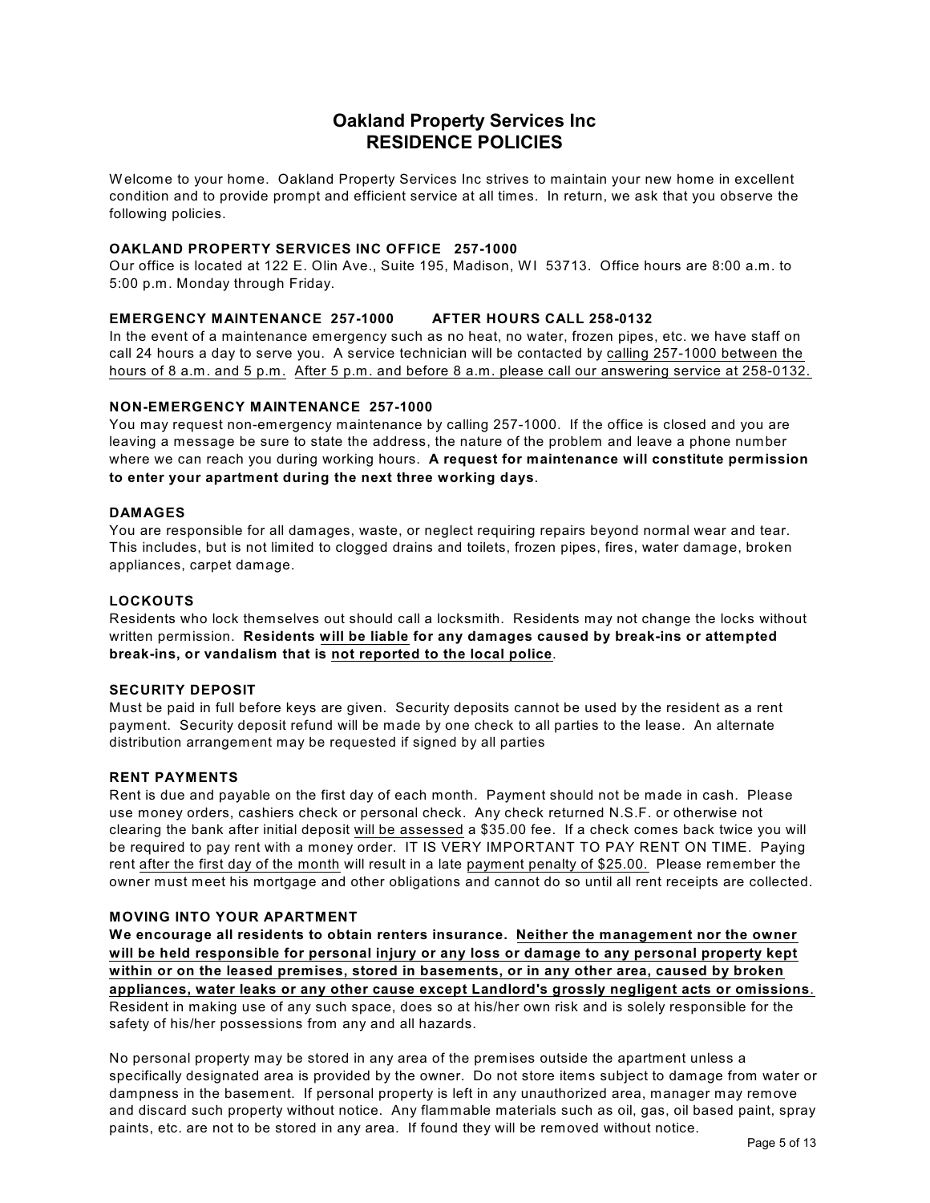### **Oakland Property Services Inc RESIDENCE POLICIES**

W elcome to your home. Oakland Property Services Inc strives to maintain your new home in excellent condition and to provide prompt and efficient service at all times. In return, we ask that you observe the following policies.

#### **OAKLAND PROPERTY SERVICES INC OFFICE 257-1000**

Our office is located at 122 E. Olin Ave., Suite 195, Madison, WI 53713. Office hours are 8:00 a.m. to 5:00 p.m. Monday through Friday.

#### **EMERGENCY MAINTENANCE 257-1000 AFTER HOURS CALL 258-0132**

In the event of a maintenance emergency such as no heat, no water, frozen pipes, etc. we have staff on call 24 hours a day to serve you. A service technician will be contacted by calling 257-1000 between the hours of 8 a.m. and 5 p.m. After 5 p.m. and before 8 a.m. please call our answering service at 258-0132.

#### **NON-EMERGENCY MAINTENANCE 257-1000**

You may request non-emergency maintenance by calling 257-1000. If the office is closed and you are leaving a message be sure to state the address, the nature of the problem and leave a phone number where we can reach you during working hours. **A request for maintenance will constitute permission to enter your apartment during the next three working days**.

#### **DAMAGES**

You are responsible for all damages, waste, or neglect requiring repairs beyond normal wear and tear. This includes, but is not limited to clogged drains and toilets, frozen pipes, fires, water damage, broken appliances, carpet damage.

#### **LOCKOUTS**

Residents who lock themselves out should call a locksmith. Residents may not change the locks without written permission. **Residents will be liable for any damages caused by break-ins or attempted break-ins, or vandalism that is not reported to the local police**.

#### **SECURITY DEPOSIT**

Must be paid in full before keys are given. Security deposits cannot be used by the resident as a rent payment. Security deposit refund will be made by one check to all parties to the lease. An alternate distribution arrangement may be requested if signed by all parties

#### **RENT PAYMENTS**

Rent is due and payable on the first day of each month. Payment should not be made in cash. Please use money orders, cashiers check or personal check. Any check returned N.S.F. or otherwise not clearing the bank after initial deposit will be assessed a \$35.00 fee. If a check comes back twice you will be required to pay rent with a money order. IT IS VERY IMPORTANT TO PAY RENT ON TIME. Paying rent after the first day of the month will result in a late payment penalty of \$25.00. Please remember the owner must meet his mortgage and other obligations and cannot do so until all rent receipts are collected.

#### **MOVING INTO YOUR APARTMENT**

**We encourage all residents to obtain renters insurance. Neither the management nor the owner will be held responsible for personal injury or any loss or damage to any personal property kept within or on the leased premises, stored in basements, or in any other area, caused by broken appliances, water leaks or any other cause except Landlord's grossly negligent acts or omissions**. Resident in making use of any such space, does so at his/her own risk and is solely responsible for the safety of his/her possessions from any and all hazards.

No personal property may be stored in any area of the premises outside the apartment unless a specifically designated area is provided by the owner. Do not store items subject to damage from water or dampness in the basement. If personal property is left in any unauthorized area, manager may remove and discard such property without notice. Any flammable materials such as oil, gas, oil based paint, spray paints, etc. are not to be stored in any area. If found they will be removed without notice.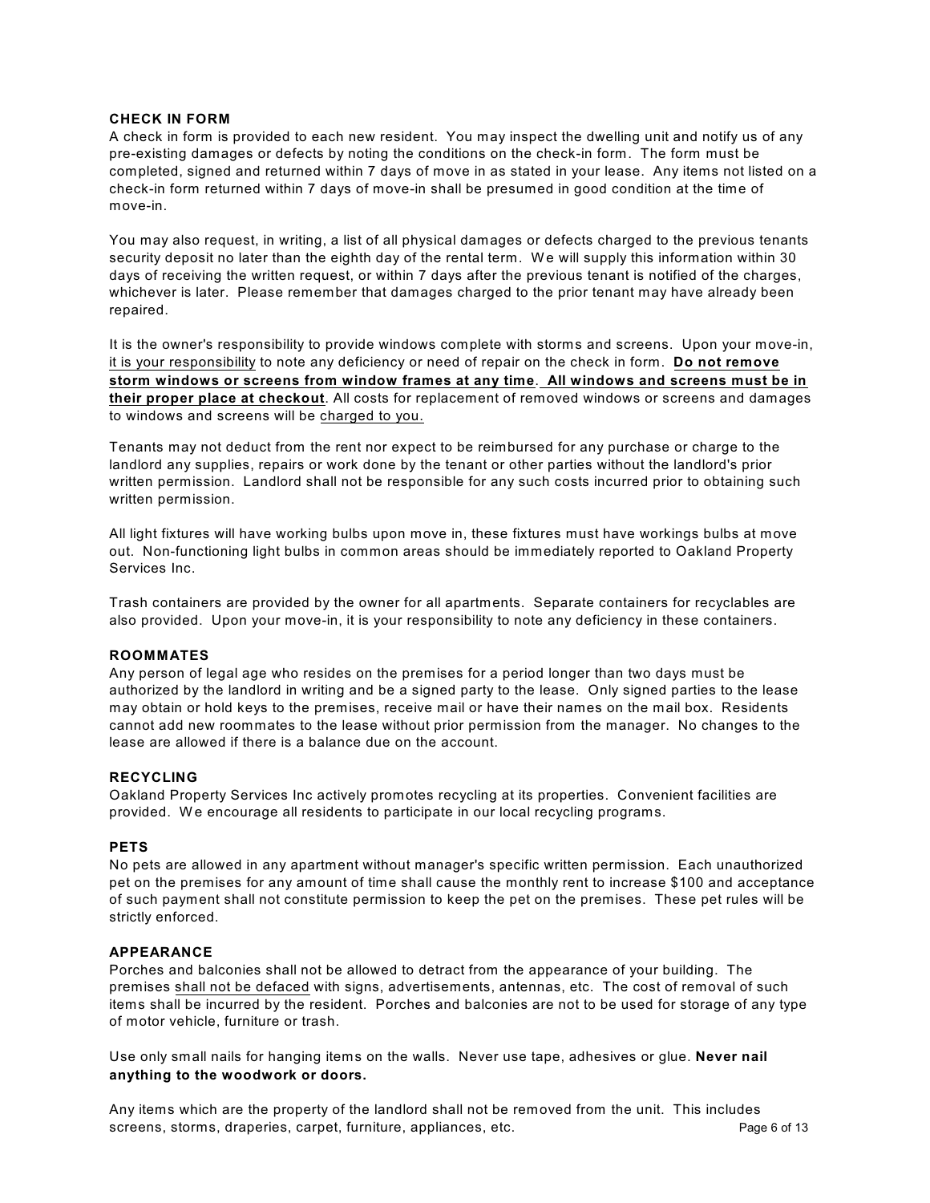#### **CHECK IN FORM**

A check in form is provided to each new resident. You may inspect the dwelling unit and notify us of any pre-existing damages or defects by noting the conditions on the check-in form. The form must be completed, signed and returned within 7 days of move in as stated in your lease. Any items not listed on a check-in form returned within 7 days of move-in shall be presumed in good condition at the time of move-in.

You may also request, in writing, a list of all physical damages or defects charged to the previous tenants security deposit no later than the eighth day of the rental term. We will supply this information within 30 days of receiving the written request, or within 7 days after the previous tenant is notified of the charges, whichever is later. Please remember that damages charged to the prior tenant may have already been repaired.

It is the owner's responsibility to provide windows complete with storms and screens. Upon your move-in, it is your responsibility to note any deficiency or need of repair on the check in form. **Do not remove storm windows or screens from window frames at any time**. **All windows and screens must be in their proper place at checkout**. All costs for replacement of removed windows or screens and damages to windows and screens will be charged to you.

Tenants may not deduct from the rent nor expect to be reimbursed for any purchase or charge to the landlord any supplies, repairs or work done by the tenant or other parties without the landlord's prior written permission. Landlord shall not be responsible for any such costs incurred prior to obtaining such written permission.

All light fixtures will have working bulbs upon move in, these fixtures must have workings bulbs at move out. Non-functioning light bulbs in common areas should be immediately reported to Oakland Property Services Inc.

Trash containers are provided by the owner for all apartments. Separate containers for recyclables are also provided. Upon your move-in, it is your responsibility to note any deficiency in these containers.

#### **ROOMMATES**

Any person of legal age who resides on the premises for a period longer than two days must be authorized by the landlord in writing and be a signed party to the lease. Only signed parties to the lease may obtain or hold keys to the premises, receive mail or have their names on the mail box. Residents cannot add new roommates to the lease without prior permission from the manager. No changes to the lease are allowed if there is a balance due on the account.

#### **RECYCLING**

Oakland Property Services Inc actively promotes recycling at its properties. Convenient facilities are provided. W e encourage all residents to participate in our local recycling programs.

#### **PETS**

No pets are allowed in any apartment without manager's specific written permission. Each unauthorized pet on the premises for any amount of time shall cause the monthly rent to increase \$100 and acceptance of such payment shall not constitute permission to keep the pet on the premises. These pet rules will be strictly enforced.

#### **APPEARANCE**

Porches and balconies shall not be allowed to detract from the appearance of your building. The premises shall not be defaced with signs, advertisements, antennas, etc. The cost of removal of such items shall be incurred by the resident. Porches and balconies are not to be used for storage of any type of motor vehicle, furniture or trash.

Use only small nails for hanging items on the walls. Never use tape, adhesives or glue. **Never nail anything to the woodwork or doors.**

Any items which are the property of the landlord shall not be removed from the unit. This includes screens, storms, draperies, carpet, furniture, appliances, etc. etc. Page 6 of 13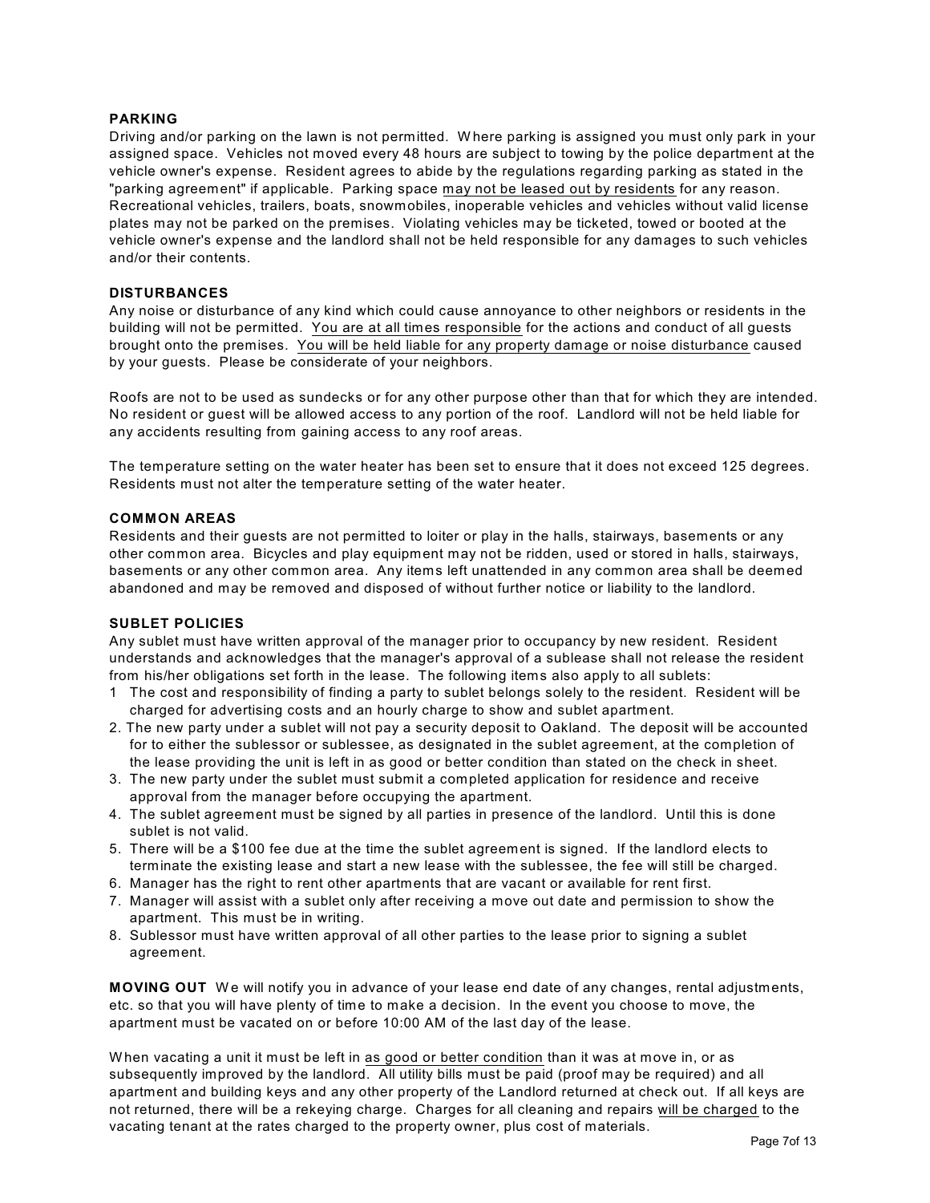#### **PARKING**

Driving and/or parking on the lawn is not permitted. W here parking is assigned you must only park in your assigned space. Vehicles not moved every 48 hours are subject to towing by the police department at the vehicle owner's expense. Resident agrees to abide by the regulations regarding parking as stated in the "parking agreement" if applicable. Parking space may not be leased out by residents for any reason. Recreational vehicles, trailers, boats, snowmobiles, inoperable vehicles and vehicles without valid license plates may not be parked on the premises. Violating vehicles may be ticketed, towed or booted at the vehicle owner's expense and the landlord shall not be held responsible for any damages to such vehicles and/or their contents.

#### **DISTURBANCES**

Any noise or disturbance of any kind which could cause annoyance to other neighbors or residents in the building will not be permitted. You are at all times responsible for the actions and conduct of all guests brought onto the premises. You will be held liable for any property damage or noise disturbance caused by your guests. Please be considerate of your neighbors.

Roofs are not to be used as sundecks or for any other purpose other than that for which they are intended. No resident or guest will be allowed access to any portion of the roof. Landlord will not be held liable for any accidents resulting from gaining access to any roof areas.

The temperature setting on the water heater has been set to ensure that it does not exceed 125 degrees. Residents must not alter the temperature setting of the water heater.

#### **COMMON AREAS**

Residents and their guests are not permitted to loiter or play in the halls, stairways, basements or any other common area. Bicycles and play equipment may not be ridden, used or stored in halls, stairways, basements or any other common area. Any items left unattended in any common area shall be deemed abandoned and may be removed and disposed of without further notice or liability to the landlord.

#### **SUBLET POLICIES**

Any sublet must have written approval of the manager prior to occupancy by new resident. Resident understands and acknowledges that the manager's approval of a sublease shall not release the resident from his/her obligations set forth in the lease. The following items also apply to all sublets:

- 1 The cost and responsibility of finding a party to sublet belongs solely to the resident. Resident will be charged for advertising costs and an hourly charge to show and sublet apartment.
- 2. The new party under a sublet will not pay a security deposit to Oakland. The deposit will be accounted for to either the sublessor or sublessee, as designated in the sublet agreement, at the completion of the lease providing the unit is left in as good or better condition than stated on the check in sheet.
- 3. The new party under the sublet must submit a completed application for residence and receive approval from the manager before occupying the apartment.
- 4. The sublet agreement must be signed by all parties in presence of the landlord. Until this is done sublet is not valid.
- 5. There will be a \$100 fee due at the time the sublet agreement is signed. If the landlord elects to terminate the existing lease and start a new lease with the sublessee, the fee will still be charged.
- 6. Manager has the right to rent other apartments that are vacant or available for rent first.
- 7. Manager will assist with a sublet only after receiving a move out date and permission to show the apartment. This must be in writing.
- 8. Sublessor must have written approval of all other parties to the lease prior to signing a sublet agreement.

**MOVING OUT** We will notify you in advance of your lease end date of any changes, rental adjustments, etc. so that you will have plenty of time to make a decision. In the event you choose to move, the apartment must be vacated on or before 10:00 AM of the last day of the lease.

W hen vacating a unit it must be left in as good or better condition than it was at move in, or as subsequently improved by the landlord. All utility bills must be paid (proof may be required) and all apartment and building keys and any other property of the Landlord returned at check out. If all keys are not returned, there will be a rekeying charge. Charges for all cleaning and repairs will be charged to the vacating tenant at the rates charged to the property owner, plus cost of materials.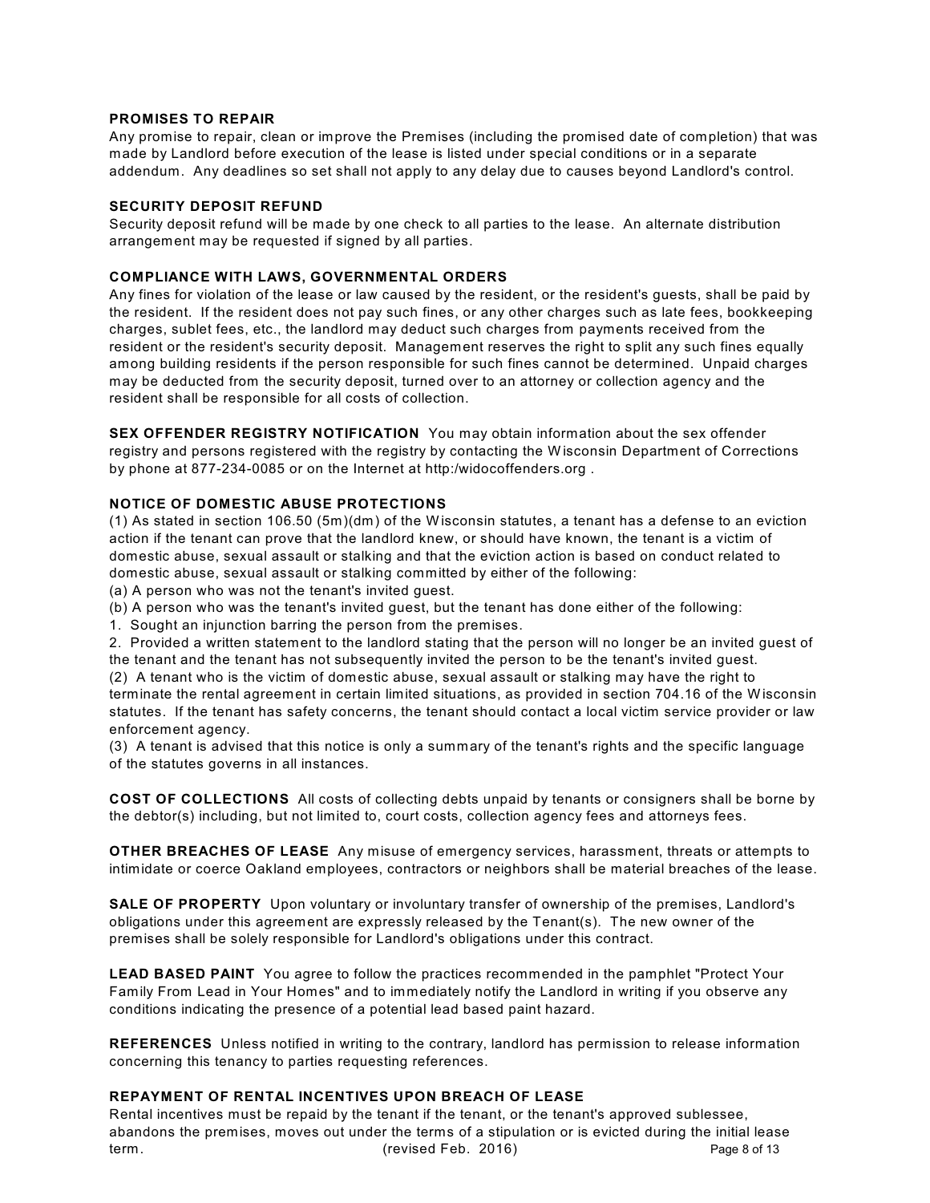#### **PROMISES TO REPAIR**

Any promise to repair, clean or improve the Premises (including the promised date of completion) that was made by Landlord before execution of the lease is listed under special conditions or in a separate addendum. Any deadlines so set shall not apply to any delay due to causes beyond Landlord's control.

#### **SECURITY DEPOSIT REFUND**

Security deposit refund will be made by one check to all parties to the lease. An alternate distribution arrangement may be requested if signed by all parties.

#### **COMPLIANCE WITH LAWS, GOVERNMENTAL ORDERS**

Any fines for violation of the lease or law caused by the resident, or the resident's guests, shall be paid by the resident. If the resident does not pay such fines, or any other charges such as late fees, bookkeeping charges, sublet fees, etc., the landlord may deduct such charges from payments received from the resident or the resident's security deposit. Management reserves the right to split any such fines equally among building residents if the person responsible for such fines cannot be determined. Unpaid charges may be deducted from the security deposit, turned over to an attorney or collection agency and the resident shall be responsible for all costs of collection.

**SEX OFFENDER REGISTRY NOTIFICATION** You may obtain information about the sex offender registry and persons registered with the registry by contacting the W isconsin Department of Corrections by phone at 877-234-0085 or on the Internet at http:/widocoffenders.org .

#### **NOTICE OF DOMESTIC ABUSE PROTECTIONS**

(1) As stated in section 106.50 (5m)(dm) of the W isconsin statutes, a tenant has a defense to an eviction action if the tenant can prove that the landlord knew, or should have known, the tenant is a victim of domestic abuse, sexual assault or stalking and that the eviction action is based on conduct related to domestic abuse, sexual assault or stalking committed by either of the following:

(a) A person who was not the tenant's invited guest.

(b) A person who was the tenant's invited guest, but the tenant has done either of the following:

1. Sought an injunction barring the person from the premises.

2. Provided a written statement to the landlord stating that the person will no longer be an invited guest of the tenant and the tenant has not subsequently invited the person to be the tenant's invited guest.

(2) A tenant who is the victim of domestic abuse, sexual assault or stalking may have the right to

terminate the rental agreement in certain limited situations, as provided in section 704.16 of the W isconsin statutes. If the tenant has safety concerns, the tenant should contact a local victim service provider or law enforcement agency.

(3) A tenant is advised that this notice is only a summary of the tenant's rights and the specific language of the statutes governs in all instances.

**COST OF COLLECTIONS** All costs of collecting debts unpaid by tenants or consigners shall be borne by the debtor(s) including, but not limited to, court costs, collection agency fees and attorneys fees.

**OTHER BREACHES OF LEASE** Any misuse of emergency services, harassment, threats or attempts to intimidate or coerce Oakland employees, contractors or neighbors shall be material breaches of the lease.

**SALE OF PROPERTY** Upon voluntary or involuntary transfer of ownership of the premises, Landlord's obligations under this agreement are expressly released by the Tenant(s). The new owner of the premises shall be solely responsible for Landlord's obligations under this contract.

**LEAD BASED PAINT** You agree to follow the practices recommended in the pamphlet "Protect Your Family From Lead in Your Homes" and to immediately notify the Landlord in writing if you observe any conditions indicating the presence of a potential lead based paint hazard.

**REFERENCES** Unless notified in writing to the contrary, landlord has permission to release information concerning this tenancy to parties requesting references.

#### **REPAYMENT OF RENTAL INCENTIVES UPON BREACH OF LEASE**

Rental incentives must be repaid by the tenant if the tenant, or the tenant's approved sublessee, abandons the premises, moves out under the terms of a stipulation or is evicted during the initial lease term. (revised Feb. 2016) Page 8 of 13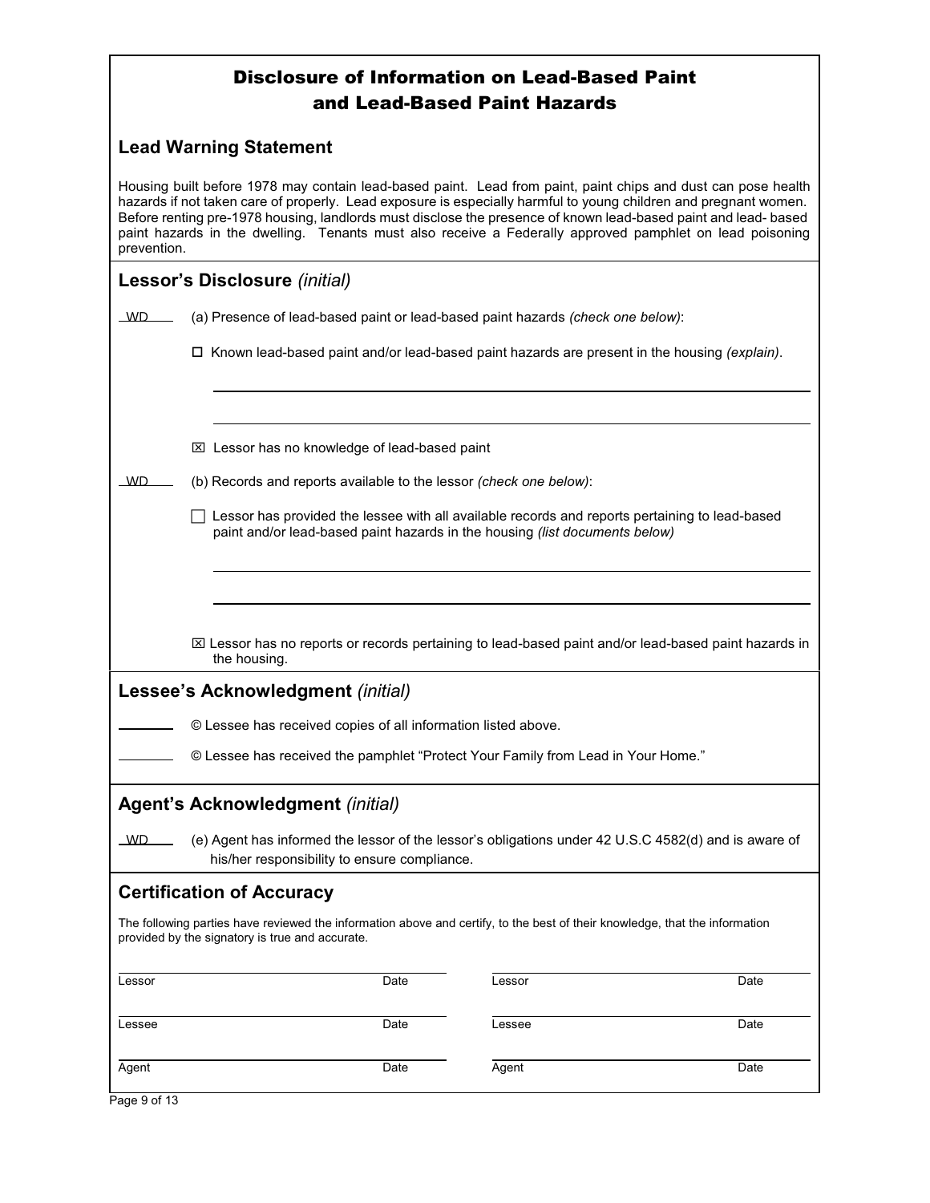| <b>Disclosure of Information on Lead-Based Paint</b><br>and Lead-Based Paint Hazards                                                                                                                                                                                                                                                                                                                                                                                            |  |                                                                                                                                                                               |      |  |  |
|---------------------------------------------------------------------------------------------------------------------------------------------------------------------------------------------------------------------------------------------------------------------------------------------------------------------------------------------------------------------------------------------------------------------------------------------------------------------------------|--|-------------------------------------------------------------------------------------------------------------------------------------------------------------------------------|------|--|--|
|                                                                                                                                                                                                                                                                                                                                                                                                                                                                                 |  | <b>Lead Warning Statement</b>                                                                                                                                                 |      |  |  |
| Housing built before 1978 may contain lead-based paint. Lead from paint, paint chips and dust can pose health<br>hazards if not taken care of properly. Lead exposure is especially harmful to young children and pregnant women.<br>Before renting pre-1978 housing, landlords must disclose the presence of known lead-based paint and lead- based<br>paint hazards in the dwelling. Tenants must also receive a Federally approved pamphlet on lead poisoning<br>prevention. |  |                                                                                                                                                                               |      |  |  |
|                                                                                                                                                                                                                                                                                                                                                                                                                                                                                 |  | Lessor's Disclosure (initial)                                                                                                                                                 |      |  |  |
| <b>WD</b>                                                                                                                                                                                                                                                                                                                                                                                                                                                                       |  | (a) Presence of lead-based paint or lead-based paint hazards (check one below):                                                                                               |      |  |  |
|                                                                                                                                                                                                                                                                                                                                                                                                                                                                                 |  | $\Box$ Known lead-based paint and/or lead-based paint hazards are present in the housing (explain).                                                                           |      |  |  |
|                                                                                                                                                                                                                                                                                                                                                                                                                                                                                 |  |                                                                                                                                                                               |      |  |  |
|                                                                                                                                                                                                                                                                                                                                                                                                                                                                                 |  | ⊠ Lessor has no knowledge of lead-based paint                                                                                                                                 |      |  |  |
| WD.                                                                                                                                                                                                                                                                                                                                                                                                                                                                             |  | (b) Records and reports available to the lessor (check one below):                                                                                                            |      |  |  |
|                                                                                                                                                                                                                                                                                                                                                                                                                                                                                 |  | Lessor has provided the lessee with all available records and reports pertaining to lead-based<br>paint and/or lead-based paint hazards in the housing (list documents below) |      |  |  |
|                                                                                                                                                                                                                                                                                                                                                                                                                                                                                 |  |                                                                                                                                                                               |      |  |  |
|                                                                                                                                                                                                                                                                                                                                                                                                                                                                                 |  |                                                                                                                                                                               |      |  |  |
|                                                                                                                                                                                                                                                                                                                                                                                                                                                                                 |  | ⊠ Lessor has no reports or records pertaining to lead-based paint and/or lead-based paint hazards in<br>the housing.                                                          |      |  |  |
|                                                                                                                                                                                                                                                                                                                                                                                                                                                                                 |  | Lessee's Acknowledgment (initial)                                                                                                                                             |      |  |  |
|                                                                                                                                                                                                                                                                                                                                                                                                                                                                                 |  | © Lessee has received copies of all information listed above.                                                                                                                 |      |  |  |
|                                                                                                                                                                                                                                                                                                                                                                                                                                                                                 |  | © Lessee has received the pamphlet "Protect Your Family from Lead in Your Home."                                                                                              |      |  |  |
|                                                                                                                                                                                                                                                                                                                                                                                                                                                                                 |  | <b>Agent's Acknowledgment (initial)</b>                                                                                                                                       |      |  |  |
| _WD                                                                                                                                                                                                                                                                                                                                                                                                                                                                             |  | (e) Agent has informed the lessor of the lessor's obligations under 42 U.S.C 4582(d) and is aware of<br>his/her responsibility to ensure compliance.                          |      |  |  |
|                                                                                                                                                                                                                                                                                                                                                                                                                                                                                 |  | <b>Certification of Accuracy</b>                                                                                                                                              |      |  |  |
| The following parties have reviewed the information above and certify, to the best of their knowledge, that the information<br>provided by the signatory is true and accurate.                                                                                                                                                                                                                                                                                                  |  |                                                                                                                                                                               |      |  |  |
| Lessor                                                                                                                                                                                                                                                                                                                                                                                                                                                                          |  | Date<br>Lessor                                                                                                                                                                | Date |  |  |
| Lessee                                                                                                                                                                                                                                                                                                                                                                                                                                                                          |  | Date<br>Lessee                                                                                                                                                                | Date |  |  |
| Agent                                                                                                                                                                                                                                                                                                                                                                                                                                                                           |  | Date<br>Agent                                                                                                                                                                 | Date |  |  |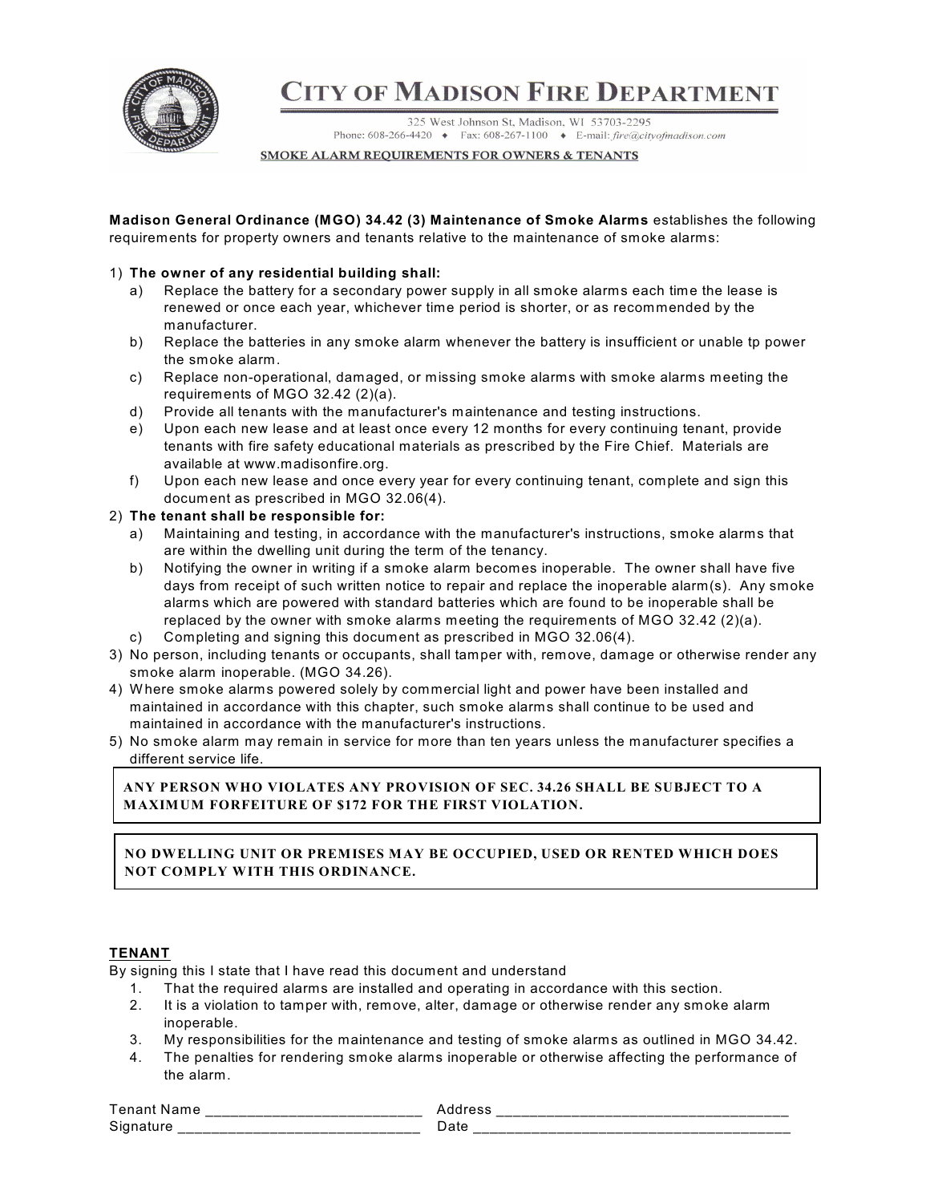

# **CITY OF MADISON FIRE DEPARTMENT**

325 West Johnson St, Madison, WI 53703-2295 Phone: 608-266-4420 • Fax: 608-267-1100 • E-mail: fire@cityofmadison.com

**SMOKE ALARM REQUIREMENTS FOR OWNERS & TENANTS** 

**Madison General Ordinance (MGO) 34.42 (3) Maintenance of Smoke Alarms** establishes the following requirements for property owners and tenants relative to the maintenance of smoke alarms:

#### 1) **The owner of any residential building shall:**

- a) Replace the battery for a secondary power supply in all smoke alarms each time the lease is renewed or once each year, whichever time period is shorter, or as recommended by the manufacturer.
- b) Replace the batteries in any smoke alarm whenever the battery is insufficient or unable tp power the smoke alarm.
- c) Replace non-operational, damaged, or missing smoke alarms with smoke alarms meeting the requirements of MGO 32.42 (2)(a).
- d) Provide all tenants with the manufacturer's maintenance and testing instructions.
- e) Upon each new lease and at least once every 12 months for every continuing tenant, provide tenants with fire safety educational materials as prescribed by the Fire Chief. Materials are available at www.madisonfire.org.
- f) Upon each new lease and once every year for every continuing tenant, complete and sign this document as prescribed in MGO 32.06(4).
- 2) **The tenant shall be responsible for:**
	- a) Maintaining and testing, in accordance with the manufacturer's instructions, smoke alarms that are within the dwelling unit during the term of the tenancy.
	- b) Notifying the owner in writing if a smoke alarm becomes inoperable. The owner shall have five days from receipt of such written notice to repair and replace the inoperable alarm(s). Any smoke alarms which are powered with standard batteries which are found to be inoperable shall be replaced by the owner with smoke alarms meeting the requirements of MGO 32.42 (2)(a).
	- c) Completing and signing this document as prescribed in MGO 32.06(4).
- 3) No person, including tenants or occupants, shall tamper with, remove, damage or otherwise render any smoke alarm inoperable. (MGO 34.26).
- 4) W here smoke alarms powered solely by commercial light and power have been installed and maintained in accordance with this chapter, such smoke alarms shall continue to be used and maintained in accordance with the manufacturer's instructions.
- 5) No smoke alarm may remain in service for more than ten years unless the manufacturer specifies a different service life.

**ANY PERSON WHO VIOLATES ANY PROVISION OF SEC. 34.26 SHALL BE SUBJECT TO A MAXIMUM FORFEITURE OF \$172 FOR THE FIRST VIOLATION.**

**NO DWELLING UNIT OR PREMISES MAY BE OCCUPIED, USED OR RENTED WHICH DOES NOT COMPLY WITH THIS ORDINANCE.**

#### **TENANT**

By signing this I state that I have read this document and understand

- 1. That the required alarms are installed and operating in accordance with this section.
- 2. It is a violation to tamper with, remove, alter, damage or otherwise render any smoke alarm inoperable.
- 3. My responsibilities for the maintenance and testing of smoke alarms as outlined in MGO 34.42.
- 4. The penalties for rendering smoke alarms inoperable or otherwise affecting the performance of the alarm.

| . enar<br>- --<br>ш.<br>______                    | _____<br>____<br>___________<br>___________<br>__<br>________<br>____ |
|---------------------------------------------------|-----------------------------------------------------------------------|
| Sin.<br>__<br>_________<br>______<br>______<br>__ | ____<br>____<br>_____<br>____<br>____<br>______<br>__                 |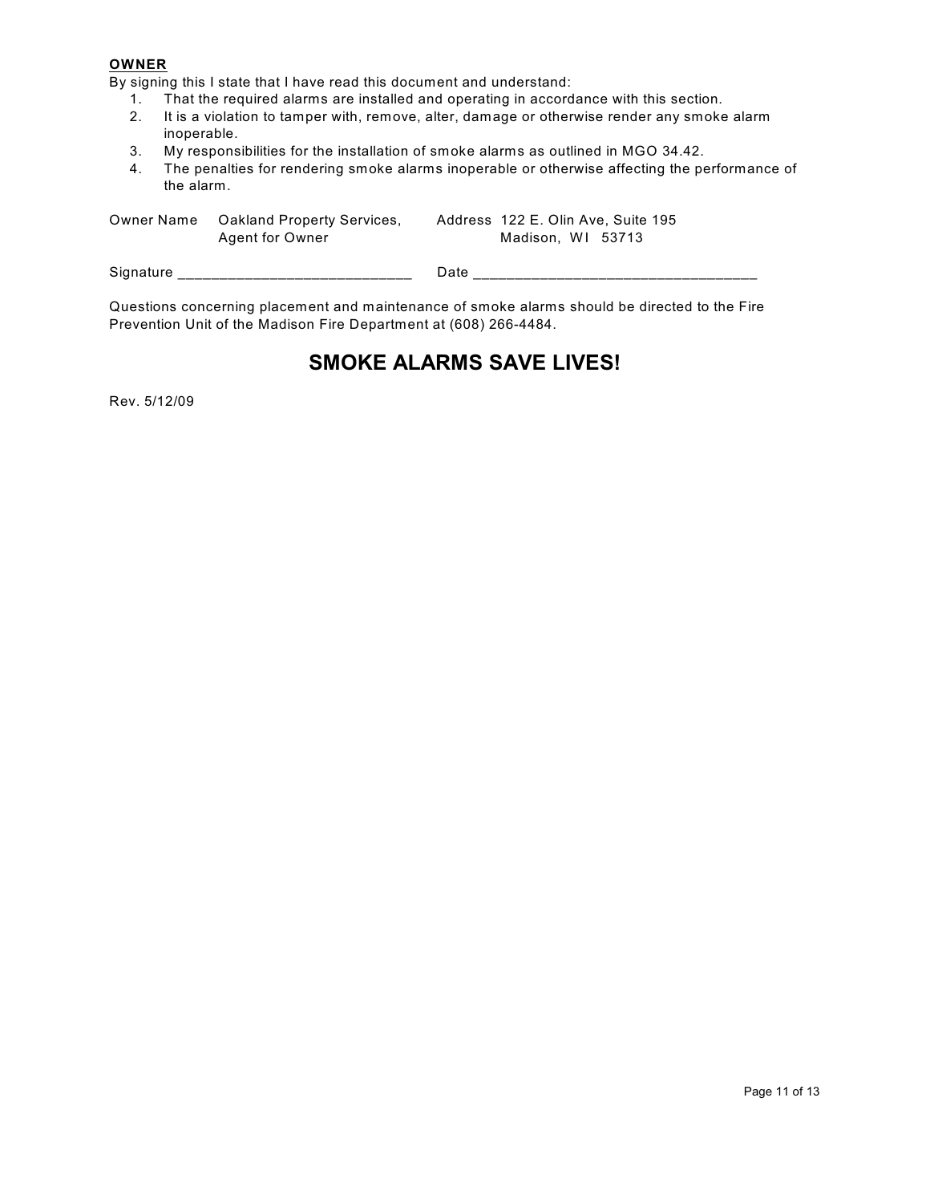#### **OWNER**

By signing this I state that I have read this document and understand:

- 1. That the required alarms are installed and operating in accordance with this section.
- 2. It is a violation to tamper with, remove, alter, damage or otherwise render any smoke alarm inoperable.
- 3. My responsibilities for the installation of smoke alarms as outlined in MGO 34.42.
- 4. The penalties for rendering smoke alarms inoperable or otherwise affecting the performance of the alarm.

| Owner Name | Oakland Property Services,<br>Agent for Owner                     |      | Address 122 E. Olin Ave, Suite 195<br>Madison, WI 53713                                       |
|------------|-------------------------------------------------------------------|------|-----------------------------------------------------------------------------------------------|
| Signature  |                                                                   | Date |                                                                                               |
|            | Prevention Unit of the Madison Fire Department at (608) 266-4484. |      | Questions concerning placement and maintenance of smoke alarms should be directed to the Fire |

# **SMOKE ALARMS SAVE LIVES!**

Rev. 5/12/09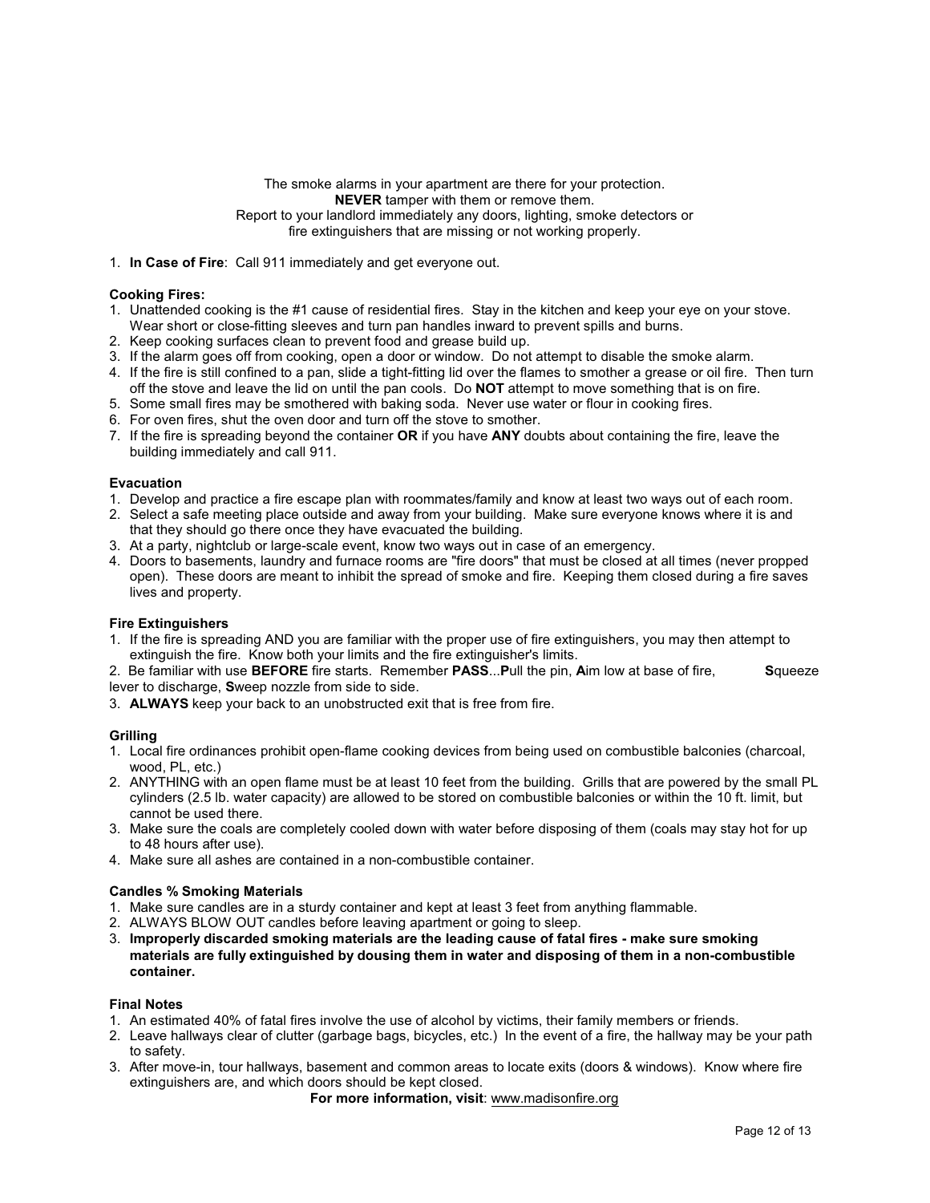The smoke alarms in your apartment are there for your protection. **NEVER** tamper with them or remove them. Report to your landlord immediately any doors, lighting, smoke detectors or fire extinguishers that are missing or not working properly.

1. **In Case of Fire**: Call 911 immediately and get everyone out.

#### **Cooking Fires:**

- 1. Unattended cooking is the #1 cause of residential fires. Stay in the kitchen and keep your eye on your stove. Wear short or close-fitting sleeves and turn pan handles inward to prevent spills and burns.
- 2. Keep cooking surfaces clean to prevent food and grease build up.
- 3. If the alarm goes off from cooking, open a door or window. Do not attempt to disable the smoke alarm.
- 4. If the fire is still confined to a pan, slide a tight-fitting lid over the flames to smother a grease or oil fire. Then turn off the stove and leave the lid on until the pan cools. Do **NOT** attempt to move something that is on fire.
- 5. Some small fires may be smothered with baking soda. Never use water or flour in cooking fires.
- 6. For oven fires, shut the oven door and turn off the stove to smother.
- 7. If the fire is spreading beyond the container **OR** if you have **ANY** doubts about containing the fire, leave the building immediately and call 911.

#### **Evacuation**

- 1. Develop and practice a fire escape plan with roommates/family and know at least two ways out of each room.
- 2. Select a safe meeting place outside and away from your building. Make sure everyone knows where it is and that they should go there once they have evacuated the building.
- 3. At a party, nightclub or large-scale event, know two ways out in case of an emergency.
- 4. Doors to basements, laundry and furnace rooms are "fire doors" that must be closed at all times (never propped open). These doors are meant to inhibit the spread of smoke and fire. Keeping them closed during a fire saves lives and property.

#### **Fire Extinguishers**

1. If the fire is spreading AND you are familiar with the proper use of fire extinguishers, you may then attempt to extinguish the fire. Know both your limits and the fire extinguisher's limits.

2. Be familiar with use **BEFORE** fire starts. Remember **PASS**...**P**ull the pin, **A**im low at base of fire, **S**queeze lever to discharge, **S**weep nozzle from side to side.

3. **ALWAYS** keep your back to an unobstructed exit that is free from fire.

#### **Grilling**

- 1. Local fire ordinances prohibit open-flame cooking devices from being used on combustible balconies (charcoal, wood, PL, etc.)
- 2. ANYTHING with an open flame must be at least 10 feet from the building. Grills that are powered by the small PL cylinders (2.5 lb. water capacity) are allowed to be stored on combustible balconies or within the 10 ft. limit, but cannot be used there.
- 3. Make sure the coals are completely cooled down with water before disposing of them (coals may stay hot for up to 48 hours after use).
- 4. Make sure all ashes are contained in a non-combustible container.

#### **Candles % Smoking Materials**

- 1. Make sure candles are in a sturdy container and kept at least 3 feet from anything flammable.
- 2. ALWAYS BLOW OUT candles before leaving apartment or going to sleep.
- 3. **Improperly discarded smoking materials are the leading cause of fatal fires make sure smoking materials are fully extinguished by dousing them in water and disposing of them in a non-combustible container.**

#### **Final Notes**

- 1. An estimated 40% of fatal fires involve the use of alcohol by victims, their family members or friends.
- 2. Leave hallways clear of clutter (garbage bags, bicycles, etc.) In the event of a fire, the hallway may be your path to safety.
- 3. After move-in, tour hallways, basement and common areas to locate exits (doors & windows). Know where fire extinguishers are, and which doors should be kept closed.

**For more information, visit**: www.madisonfire.org